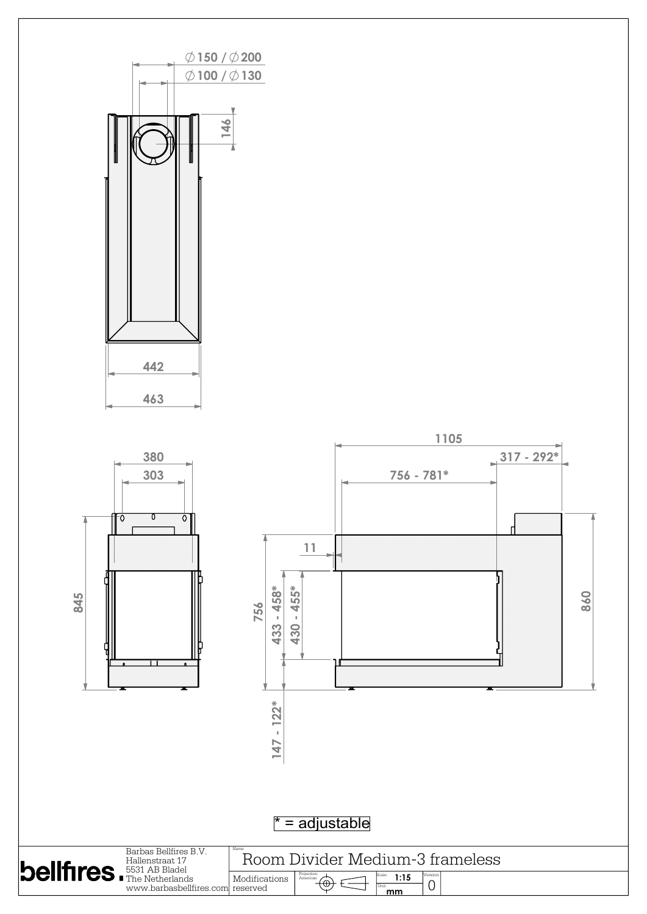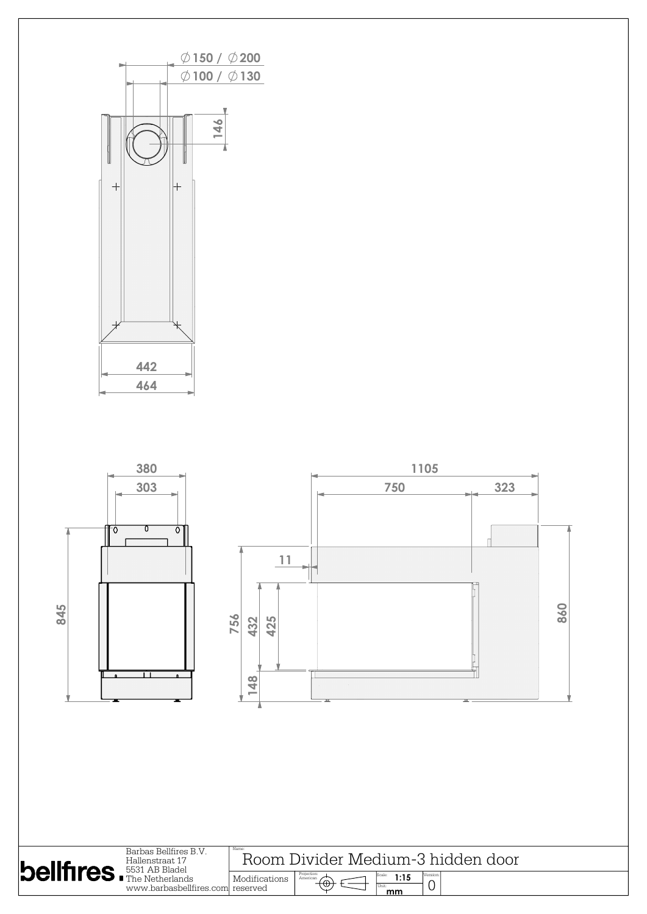

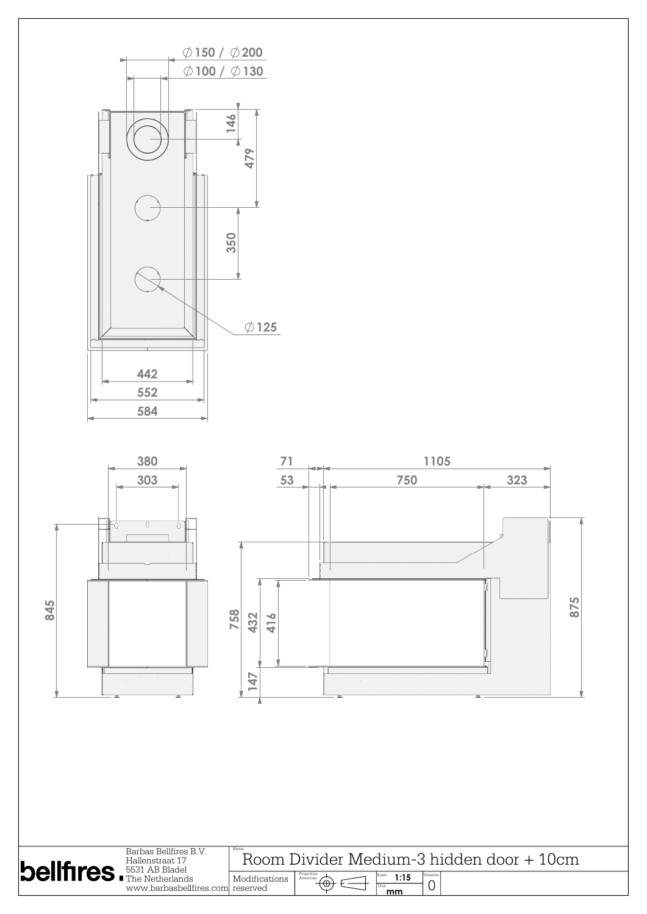